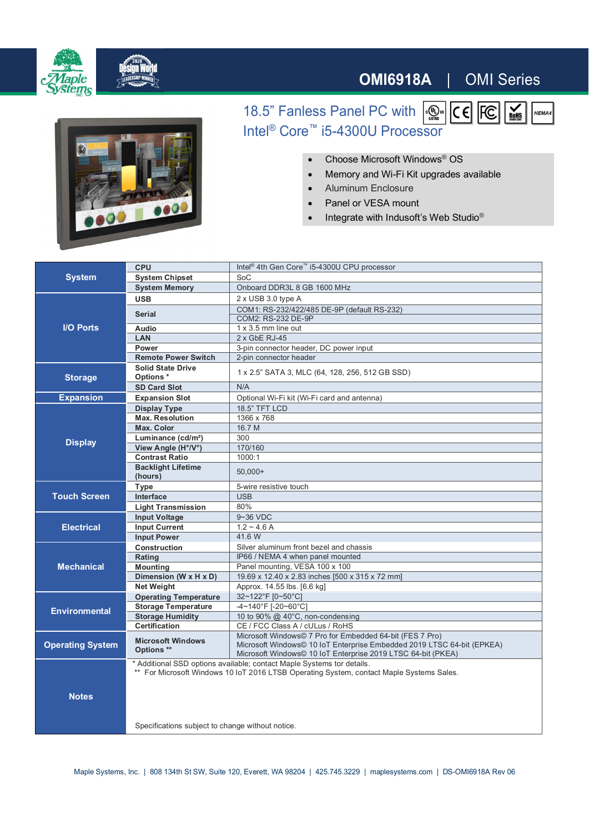

## **OMI6918A** | OMI Series

 $|\overline{\mathcal{C}}|$ 

 $\overline{\mathsf{Rohs}}$ 

NEMA4



18.5" Fanless Panel PC with  $\sqrt{\frac{m}{m}}$ Intel<sup>®</sup> Core<sup>™</sup> i5-4300U Processor

∂ Choose Microsoft Windows® OS

- Memory and Wi-Fi Kit upgrades available
- Aluminum Enclosure
- ∂ Panel or VESA mount
- Integrate with Indusoft's Web Studio<sup>®</sup>

| <b>System</b>           | <b>CPU</b>                                                                                                                                                         | Intel <sup>®</sup> 4th Gen Core <sup>™</sup> i5-4300U CPU processor                                                                                                                                |
|-------------------------|--------------------------------------------------------------------------------------------------------------------------------------------------------------------|----------------------------------------------------------------------------------------------------------------------------------------------------------------------------------------------------|
|                         | <b>System Chipset</b>                                                                                                                                              | SoC                                                                                                                                                                                                |
|                         | <b>System Memory</b>                                                                                                                                               | Onboard DDR3L 8 GB 1600 MHz                                                                                                                                                                        |
| <b>I/O Ports</b>        | <b>USB</b>                                                                                                                                                         | 2 x USB 3.0 type A                                                                                                                                                                                 |
|                         |                                                                                                                                                                    | COM1: RS-232/422/485 DE-9P (default RS-232)                                                                                                                                                        |
|                         | <b>Serial</b>                                                                                                                                                      | COM2: RS-232 DE-9P                                                                                                                                                                                 |
|                         | Audio                                                                                                                                                              | 1 x 3.5 mm line out                                                                                                                                                                                |
|                         | <b>LAN</b>                                                                                                                                                         | 2 x GbE RJ-45                                                                                                                                                                                      |
|                         | Power                                                                                                                                                              | 3-pin connector header, DC power input                                                                                                                                                             |
|                         | <b>Remote Power Switch</b>                                                                                                                                         | 2-pin connector header                                                                                                                                                                             |
| <b>Storage</b>          | <b>Solid State Drive</b><br>Options*                                                                                                                               | 1 x 2.5" SATA 3, MLC (64, 128, 256, 512 GB SSD)                                                                                                                                                    |
|                         | <b>SD Card Slot</b>                                                                                                                                                | N/A                                                                                                                                                                                                |
| <b>Expansion</b>        | <b>Expansion Slot</b>                                                                                                                                              | Optional Wi-Fi kit (Wi-Fi card and antenna)                                                                                                                                                        |
| <b>Display</b>          | <b>Display Type</b>                                                                                                                                                | <b>18.5" TFT LCD</b>                                                                                                                                                                               |
|                         | <b>Max. Resolution</b>                                                                                                                                             | 1366 x 768                                                                                                                                                                                         |
|                         | Max. Color                                                                                                                                                         | 16.7 M                                                                                                                                                                                             |
|                         | Luminance (cd/m <sup>2</sup> )                                                                                                                                     | 300                                                                                                                                                                                                |
|                         | View Angle (H°/V°)                                                                                                                                                 | 170/160                                                                                                                                                                                            |
|                         | <b>Contrast Ratio</b>                                                                                                                                              | 1000:1                                                                                                                                                                                             |
|                         | <b>Backlight Lifetime</b><br>(hours)                                                                                                                               | $50,000+$                                                                                                                                                                                          |
| <b>Touch Screen</b>     | Type                                                                                                                                                               | 5-wire resistive touch                                                                                                                                                                             |
|                         | Interface                                                                                                                                                          | <b>USB</b>                                                                                                                                                                                         |
|                         | <b>Light Transmission</b>                                                                                                                                          | 80%                                                                                                                                                                                                |
| <b>Electrical</b>       | <b>Input Voltage</b>                                                                                                                                               | $9 - 36$ VDC                                                                                                                                                                                       |
|                         | <b>Input Current</b>                                                                                                                                               | $1.2 - 4.6 A$                                                                                                                                                                                      |
|                         | <b>Input Power</b>                                                                                                                                                 | 41.6 W                                                                                                                                                                                             |
| <b>Mechanical</b>       | <b>Construction</b>                                                                                                                                                | Silver aluminum front bezel and chassis                                                                                                                                                            |
|                         | Rating                                                                                                                                                             | IP66 / NEMA 4 when panel mounted                                                                                                                                                                   |
|                         | <b>Mounting</b>                                                                                                                                                    | Panel mounting, VESA 100 x 100                                                                                                                                                                     |
|                         | Dimension (W x H x D)                                                                                                                                              | 19.69 x 12.40 x 2.83 inches [500 x 315 x 72 mm]                                                                                                                                                    |
|                         | <b>Net Weight</b>                                                                                                                                                  | Approx. 14.55 lbs. [6.6 kg]                                                                                                                                                                        |
| <b>Environmental</b>    | <b>Operating Temperature</b>                                                                                                                                       | 32~122°F [0~50°C]                                                                                                                                                                                  |
|                         | <b>Storage Temperature</b>                                                                                                                                         | -4~140°F [-20~60°C]                                                                                                                                                                                |
|                         | <b>Storage Humidity</b>                                                                                                                                            | 10 to 90% @ 40°C, non-condensing                                                                                                                                                                   |
|                         | <b>Certification</b>                                                                                                                                               | CE / FCC Class A / cULus / RoHS                                                                                                                                                                    |
| <b>Operating System</b> | <b>Microsoft Windows</b><br>Options **                                                                                                                             | Microsoft Windows© 7 Pro for Embedded 64-bit (FES 7 Pro)<br>Microsoft Windows© 10 IoT Enterprise Embedded 2019 LTSC 64-bit (EPKEA)<br>Microsoft Windows© 10 IoT Enterprise 2019 LTSC 64-bit (PKEA) |
|                         | * Additional SSD options available; contact Maple Systems tor details.<br>** For Microsoft Windows 10 IoT 2016 LTSB Operating System, contact Maple Systems Sales. |                                                                                                                                                                                                    |
| <b>Notes</b>            |                                                                                                                                                                    |                                                                                                                                                                                                    |
|                         | Specifications subject to change without notice.                                                                                                                   |                                                                                                                                                                                                    |